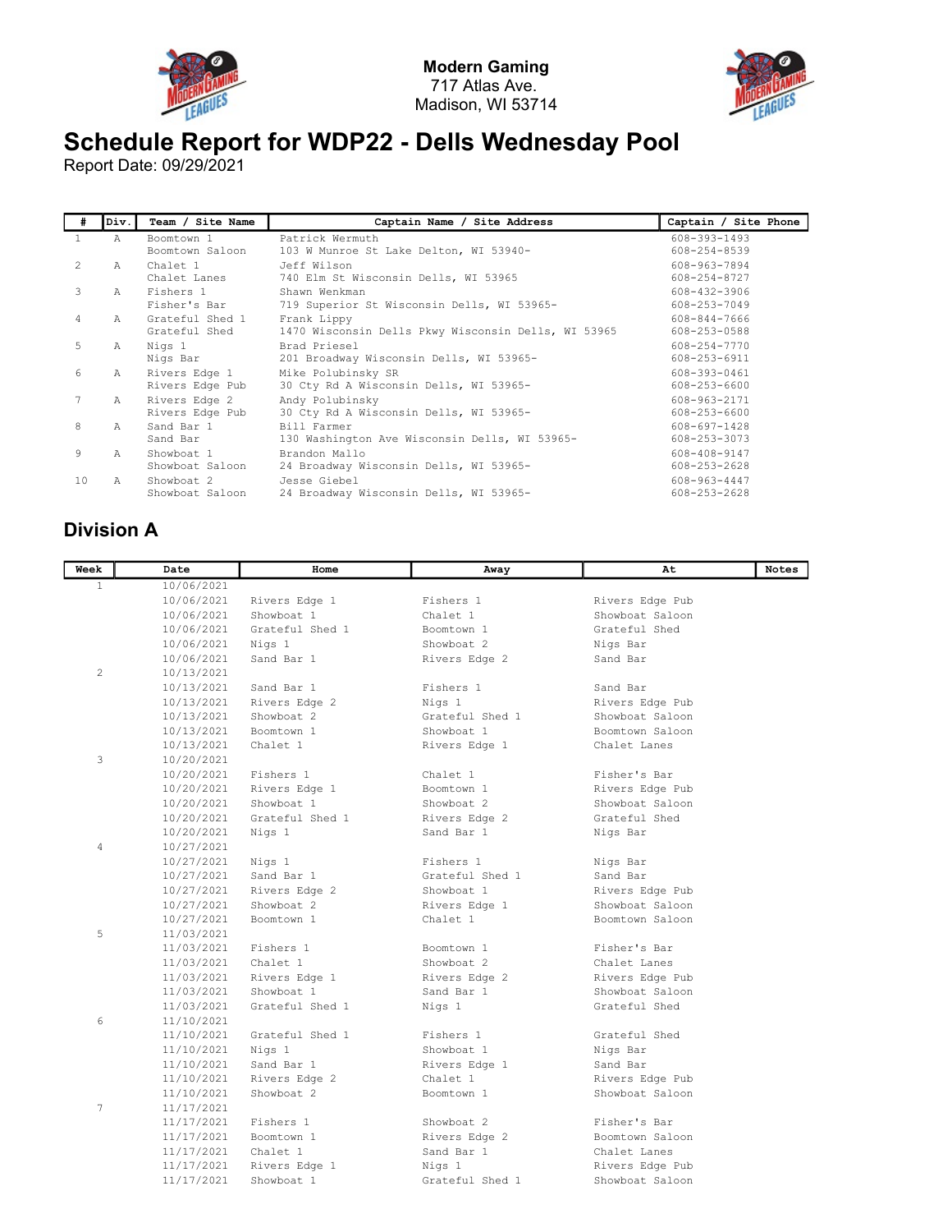



## Schedule Report for WDP22 - Dells Wednesday Pool

Report Date: 09/29/2021

| #  | Div.          | Team / Site Name                 | Captain Name / Site Address                                        | Captain / Site Phone         |
|----|---------------|----------------------------------|--------------------------------------------------------------------|------------------------------|
|    | Α             | Boomtown 1<br>Boomtown Saloon    | Patrick Wermuth<br>103 W Munroe St Lake Delton, WI 53940-          | 608-393-1493<br>608-254-8539 |
| 2  | A             | Chalet 1<br>Chalet Lanes         | Jeff Wilson<br>740 Elm St Wisconsin Dells, WI 53965                | 608-963-7894<br>608-254-8727 |
| 3  | А             | Fishers 1<br>Fisher's Bar        | Shawn Wenkman<br>719 Superior St Wisconsin Dells, WI 53965-        | 608-432-3906<br>608-253-7049 |
| 4  | A             | Grateful Shed 1<br>Grateful Shed | Frank Lippy<br>1470 Wisconsin Dells Pkwy Wisconsin Dells, WI 53965 | 608-844-7666<br>608-253-0588 |
| 5  | Α             | Nigs 1<br>Nigs Bar               | Brad Priesel<br>201 Broadway Wisconsin Dells, WI 53965-            | 608-254-7770<br>608-253-6911 |
| 6  | A             | Rivers Edge 1<br>Rivers Edge Pub | Mike Polubinsky SR<br>30 Cty Rd A Wisconsin Dells, WI 53965-       | 608-393-0461<br>608-253-6600 |
|    | A             | Rivers Edge 2<br>Rivers Edge Pub | Andy Polubinsky<br>30 Cty Rd A Wisconsin Dells, WI 53965-          | 608-963-2171<br>608-253-6600 |
| 8  | $\mathcal{A}$ | Sand Bar 1<br>Sand Bar           | Bill Farmer<br>130 Washington Ave Wisconsin Dells, WI 53965-       | 608-697-1428<br>608-253-3073 |
| 9  | $\mathcal{A}$ | Showboat 1<br>Showboat Saloon    | Brandon Mallo<br>24 Broadway Wisconsin Dells, WI 53965-            | 608-408-9147<br>608-253-2628 |
| 10 | $\mathbb{A}$  | Showboat 2<br>Showboat Saloon    | Jesse Giebel<br>24 Broadway Wisconsin Dells, WI 53965-             | 608-963-4447<br>608-253-2628 |

## Division A

| Week         | Date       | Home            | Away            | At              | <b>Notes</b> |
|--------------|------------|-----------------|-----------------|-----------------|--------------|
| $\mathbf{1}$ | 10/06/2021 |                 |                 |                 |              |
|              | 10/06/2021 | Rivers Edge 1   | Fishers 1       | Rivers Edge Pub |              |
|              | 10/06/2021 | Showboat 1      | Chalet 1        | Showboat Saloon |              |
|              | 10/06/2021 | Grateful Shed 1 | Boomtown 1      | Grateful Shed   |              |
|              | 10/06/2021 | Nigs 1          | Showboat 2      | Nigs Bar        |              |
|              | 10/06/2021 | Sand Bar 1      | Rivers Edge 2   | Sand Bar        |              |
| $\mathbf{2}$ | 10/13/2021 |                 |                 |                 |              |
|              | 10/13/2021 | Sand Bar 1      | Fishers 1       | Sand Bar        |              |
|              | 10/13/2021 | Rivers Edge 2   | Nigs 1          | Rivers Edge Pub |              |
|              | 10/13/2021 | Showboat 2      | Grateful Shed 1 | Showboat Saloon |              |
|              | 10/13/2021 | Boomtown 1      | Showboat 1      | Boomtown Saloon |              |
|              | 10/13/2021 | Chalet 1        | Rivers Edge 1   | Chalet Lanes    |              |
| 3            | 10/20/2021 |                 |                 |                 |              |
|              | 10/20/2021 | Fishers 1       | Chalet 1        | Fisher's Bar    |              |
|              | 10/20/2021 | Rivers Edge 1   | Boomtown 1      | Rivers Edge Pub |              |
|              | 10/20/2021 | Showboat 1      | Showboat 2      | Showboat Saloon |              |
|              | 10/20/2021 | Grateful Shed 1 | Rivers Edge 2   | Grateful Shed   |              |
|              | 10/20/2021 | Nigs 1          | Sand Bar 1      | Nigs Bar        |              |
| 4            | 10/27/2021 |                 |                 |                 |              |
|              | 10/27/2021 | Nigs 1          | Fishers 1       | Nigs Bar        |              |
|              | 10/27/2021 | Sand Bar 1      | Grateful Shed 1 | Sand Bar        |              |
|              | 10/27/2021 | Rivers Edge 2   | Showboat 1      | Rivers Edge Pub |              |
|              | 10/27/2021 | Showboat 2      | Rivers Edge 1   | Showboat Saloon |              |
|              | 10/27/2021 | Boomtown 1      | Chalet 1        | Boomtown Saloon |              |
| 5            | 11/03/2021 |                 |                 |                 |              |
|              | 11/03/2021 | Fishers 1       | Boomtown 1      | Fisher's Bar    |              |
|              | 11/03/2021 | Chalet 1        | Showboat 2      | Chalet Lanes    |              |
|              | 11/03/2021 | Rivers Edge 1   | Rivers Edge 2   | Rivers Edge Pub |              |
|              | 11/03/2021 | Showboat 1      | Sand Bar 1      | Showboat Saloon |              |
|              | 11/03/2021 | Grateful Shed 1 | Nigs 1          | Grateful Shed   |              |
| 6            | 11/10/2021 |                 |                 |                 |              |
|              | 11/10/2021 | Grateful Shed 1 | Fishers 1       | Grateful Shed   |              |
|              | 11/10/2021 | Nigs 1          | Showboat 1      | Nigs Bar        |              |
|              | 11/10/2021 | Sand Bar 1      | Rivers Edge 1   | Sand Bar        |              |
|              | 11/10/2021 | Rivers Edge 2   | Chalet 1        | Rivers Edge Pub |              |
|              | 11/10/2021 | Showboat 2      | Boomtown 1      | Showboat Saloon |              |
| 7            | 11/17/2021 |                 |                 |                 |              |
|              | 11/17/2021 | Fishers 1       | Showboat 2      | Fisher's Bar    |              |
|              | 11/17/2021 | Boomtown 1      | Rivers Edge 2   | Boomtown Saloon |              |
|              | 11/17/2021 | Chalet 1        | Sand Bar 1      | Chalet Lanes    |              |
|              | 11/17/2021 | Rivers Edge 1   | Nigs 1          | Rivers Edge Pub |              |
|              | 11/17/2021 | Showboat 1      | Grateful Shed 1 | Showboat Saloon |              |
|              |            |                 |                 |                 |              |